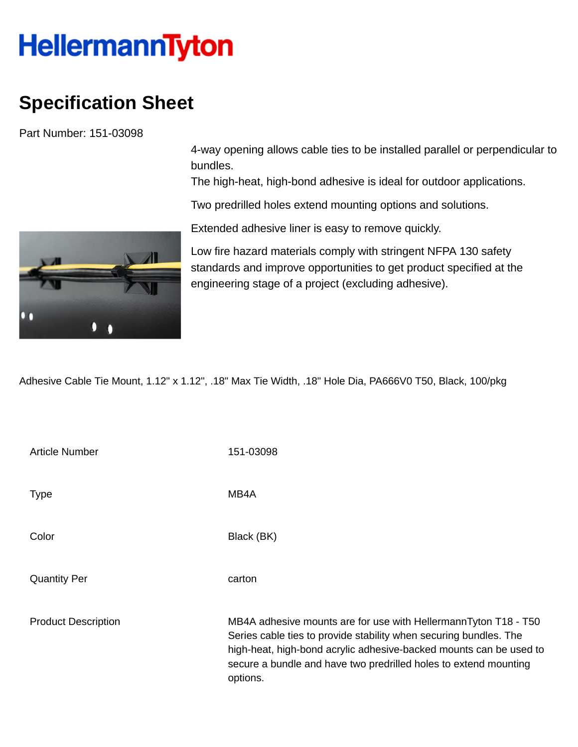## **HellermannTyton**

## **Specification Sheet**

Part Number: 151-03098

4-way opening allows cable ties to be installed parallel or perpendicular to bundles.

The high-heat, high-bond adhesive is ideal for outdoor applications.

Two predrilled holes extend mounting options and solutions.

Extended adhesive liner is easy to remove quickly.

Low fire hazard materials comply with stringent NFPA 130 safety standards and improve opportunities to get product specified at the engineering stage of a project (excluding adhesive).

Adhesive Cable Tie Mount, 1.12" x 1.12", .18" Max Tie Width, .18" Hole Dia, PA666V0 T50, Black, 100/pkg

| <b>Article Number</b>      | 151-03098                                                                                                                                                                                                                                                                                  |
|----------------------------|--------------------------------------------------------------------------------------------------------------------------------------------------------------------------------------------------------------------------------------------------------------------------------------------|
| <b>Type</b>                | MB4A                                                                                                                                                                                                                                                                                       |
| Color                      | Black (BK)                                                                                                                                                                                                                                                                                 |
| <b>Quantity Per</b>        | carton                                                                                                                                                                                                                                                                                     |
| <b>Product Description</b> | MB4A adhesive mounts are for use with HellermannTyton T18 - T50<br>Series cable ties to provide stability when securing bundles. The<br>high-heat, high-bond acrylic adhesive-backed mounts can be used to<br>secure a bundle and have two predrilled holes to extend mounting<br>options. |

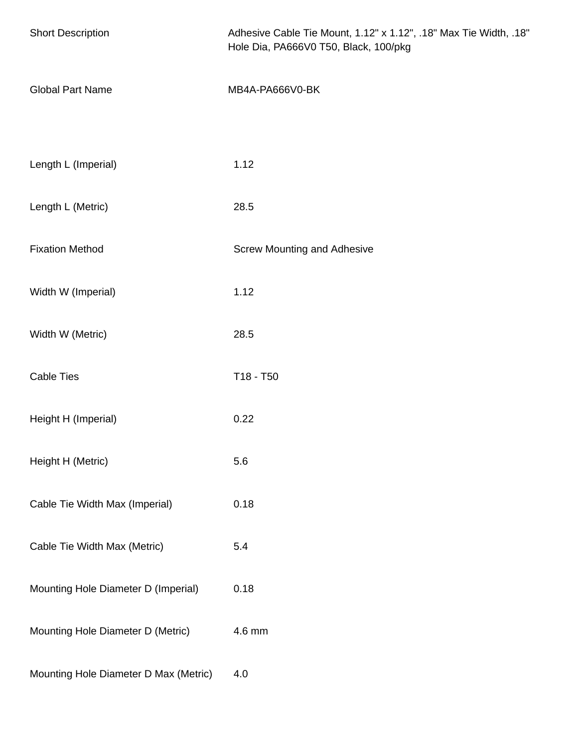| <b>Short Description</b>              | Adhesive Cable Tie Mount, 1.12" x 1.12", .18" Max Tie Width, .18"<br>Hole Dia, PA666V0 T50, Black, 100/pkg |
|---------------------------------------|------------------------------------------------------------------------------------------------------------|
| <b>Global Part Name</b>               | MB4A-PA666V0-BK                                                                                            |
|                                       |                                                                                                            |
| Length L (Imperial)                   | 1.12                                                                                                       |
| Length L (Metric)                     | 28.5                                                                                                       |
| <b>Fixation Method</b>                | <b>Screw Mounting and Adhesive</b>                                                                         |
| Width W (Imperial)                    | 1.12                                                                                                       |
| Width W (Metric)                      | 28.5                                                                                                       |
| <b>Cable Ties</b>                     | T18 - T50                                                                                                  |
| Height H (Imperial)                   | 0.22                                                                                                       |
| Height H (Metric)                     | 5.6                                                                                                        |
| Cable Tie Width Max (Imperial)        | 0.18                                                                                                       |
| Cable Tie Width Max (Metric)          | 5.4                                                                                                        |
| Mounting Hole Diameter D (Imperial)   | 0.18                                                                                                       |
| Mounting Hole Diameter D (Metric)     | 4.6 mm                                                                                                     |
| Mounting Hole Diameter D Max (Metric) | 4.0                                                                                                        |